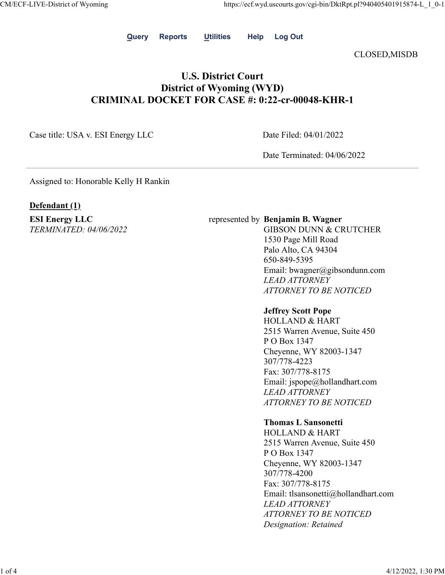CLOSED,MISDB

# https://ecf.wyd.uscourts.gov/cgi-bin/DktRpt.pl?940405401915874-L\_1\_0-1<br>
Query Reports Utilities Help Log Out<br>
CLOSED,MISDB<br>
U.S. District Court U.S. District Court District of Wyoming (WYD) CRIMINAL DOCKET FOR CASE #: 0:22-cr-00048-KHR-1 LIVE-District of Wyoming<br>
guery Reports Utilities Help Log Out<br>
CLOSED,MISDB<br>
U.S. District Court<br>
District of Wyoming (WYD)<br>
CRIMINAL DOCKET FOR CASE #: 0:22-cr-00048-KHR-1<br>
Case title: USA v. ESI Energy LLC<br>
Date Filed:

Date Terminated: 04/06/2022

Assigned to: Honorable Kelly H Rankin

#### Defendant (1)

ESI Energy LLC TERMINATED: 04/06/2022

#### represented by Benjamin B. Wagner

GIBSON DUNN & CRUTCHER 1530 Page Mill Road Palo Alto, CA 94304 650-849-5395 Email: bwagner@gibsondunn.com LEAD ATTORNEY ATTORNEY TO BE NOTICED

#### Jeffrey Scott Pope

HOLLAND & HART 2515 Warren Avenue, Suite 450 P O Box 1347 Cheyenne, WY 82003-1347 307/778-4223 Fax: 307/778-8175 Email: jspope@hollandhart.com LEAD ATTORNEY ATTORNEY TO BE NOTICED

#### Thomas L Sansonetti

HOLLAND & HART 2515 Warren Avenue, Suite 450 P O Box 1347 Cheyenne, WY 82003-1347 307/778-4200 Fax: 307/778-8175 Email: tlsansonetti@hollandhart.com LEAD ATTORNEY ATTORNEY TO BE NOTICED Designation: Retained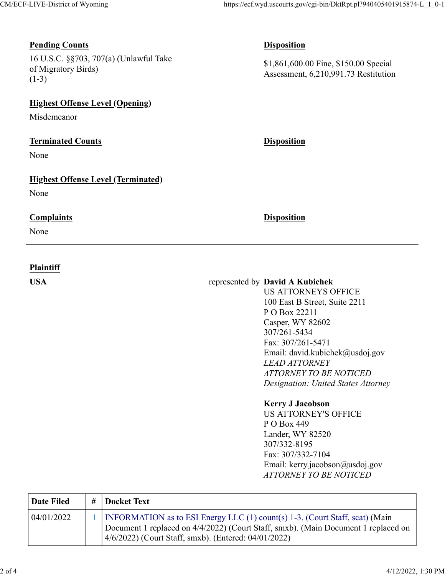# Pending Counts **Disposition**

16 U.S.C. §§703, 707(a) (Unlawful Take of Migratory Birds) (1-3)

Highest Offense Level (Opening)

Misdemeanor

## **Terminated Counts Disposition**

None

# Highest Offense Level (Terminated)

None

# **Complaints Disposition**

None

### Plaintiff

\$1,861,600.00 Fine, \$150.00 Special Assessment, 6,210,991.73 Restitution

### USA **represented by David A Kubichek**

US ATTORNEYS OFFICE 100 East B Street, Suite 2211 P O Box 22211 Casper, WY 82602 307/261-5434 Fax: 307/261-5471 Email: david.kubichek@usdoj.gov LEAD ATTORNEY ATTORNEY TO BE NOTICED Designation: United States Attorney

### Kerry J Jacobson

|                   |   | $1 \cup D0$ 22211<br>Casper, WY 82602<br>307/261-5434<br>Fax: 307/261-5471<br>Email: david.kubichek@usdoj.gov<br><b>LEAD ATTORNEY</b><br><b>ATTORNEY TO BE NOTICED</b>                                                     |  |  |  |
|-------------------|---|----------------------------------------------------------------------------------------------------------------------------------------------------------------------------------------------------------------------------|--|--|--|
|                   |   | Designation: United States Attorney                                                                                                                                                                                        |  |  |  |
|                   |   | <b>Kerry J Jacobson</b><br><b>US ATTORNEY'S OFFICE</b><br>P O Box 449<br>Lander, WY 82520<br>307/332-8195<br>Fax: 307/332-7104<br>Email: kerry.jacobson@usdoj.gov<br><b>ATTORNEY TO BE NOTICED</b>                         |  |  |  |
| <b>Date Filed</b> | # | <b>Docket Text</b>                                                                                                                                                                                                         |  |  |  |
| 04/01/2022        |   | INFORMATION as to ESI Energy LLC (1) count(s) 1-3. (Court Staff, scat) (Main<br>Document 1 replaced on 4/4/2022) (Court Staff, smxb). (Main Document 1 replaced on<br>4/6/2022) (Court Staff, smxb). (Entered: 04/01/2022) |  |  |  |
|                   |   |                                                                                                                                                                                                                            |  |  |  |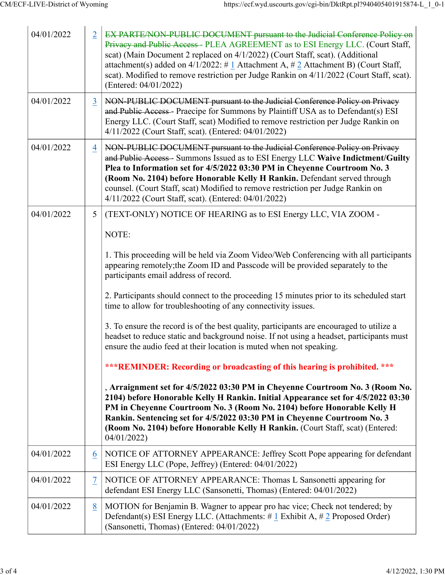| CM/ECF-LIVE-District of Wyoming |                          | https://ecf.wyd.uscourts.gov/cgi-bin/DktRpt.pl?940405401915874-L 1 0-1                                                                                                                                                                                                                                                                                                                                                                                                                                                                                                                                                                                                                                                                                                                                                                                                                                                                                                                                                                                                                                                                                                                                                             |  |  |  |  |
|---------------------------------|--------------------------|------------------------------------------------------------------------------------------------------------------------------------------------------------------------------------------------------------------------------------------------------------------------------------------------------------------------------------------------------------------------------------------------------------------------------------------------------------------------------------------------------------------------------------------------------------------------------------------------------------------------------------------------------------------------------------------------------------------------------------------------------------------------------------------------------------------------------------------------------------------------------------------------------------------------------------------------------------------------------------------------------------------------------------------------------------------------------------------------------------------------------------------------------------------------------------------------------------------------------------|--|--|--|--|
| 04/01/2022                      | $\overline{2}$           | EX PARTE/NON-PUBLIC DOCUMENT pursuant to the Judicial Conference Policy on<br>Privacy and Public Access- PLEA AGREEMENT as to ESI Energy LLC. (Court Staff,<br>scat) (Main Document 2 replaced on 4/1/2022) (Court Staff, scat). (Additional<br>attachment(s) added on $4/1/2022$ : # 1 Attachment A, # 2 Attachment B) (Court Staff,<br>scat). Modified to remove restriction per Judge Rankin on 4/11/2022 (Court Staff, scat).<br>(Entered: 04/01/2022)                                                                                                                                                                                                                                                                                                                                                                                                                                                                                                                                                                                                                                                                                                                                                                         |  |  |  |  |
| 04/01/2022                      | 3 <sup>1</sup>           | NON-PUBLIC DOCUMENT pursuant to the Judicial Conference Policy on Privacy<br>and Public Access- Praecipe for Summons by Plaintiff USA as to Defendant(s) ESI<br>Energy LLC. (Court Staff, scat) Modified to remove restriction per Judge Rankin on<br>4/11/2022 (Court Staff, scat). (Entered: 04/01/2022)                                                                                                                                                                                                                                                                                                                                                                                                                                                                                                                                                                                                                                                                                                                                                                                                                                                                                                                         |  |  |  |  |
| 04/01/2022                      |                          | NON-PUBLIC DOCUMENT pursuant to the Judicial Conference Policy on Privacy<br>and Public Access - Summons Issued as to ESI Energy LLC Waive Indictment/Guilty<br>Plea to Information set for 4/5/2022 03:30 PM in Cheyenne Courtroom No. 3<br>(Room No. 2104) before Honorable Kelly H Rankin. Defendant served through<br>counsel. (Court Staff, scat) Modified to remove restriction per Judge Rankin on<br>4/11/2022 (Court Staff, scat). (Entered: 04/01/2022)                                                                                                                                                                                                                                                                                                                                                                                                                                                                                                                                                                                                                                                                                                                                                                  |  |  |  |  |
| 04/01/2022                      | 5 <sup>5</sup>           | (TEXT-ONLY) NOTICE OF HEARING as to ESI Energy LLC, VIA ZOOM -<br>NOTE:<br>1. This proceeding will be held via Zoom Video/Web Conferencing with all participants<br>appearing remotely; the Zoom ID and Passcode will be provided separately to the<br>participants email address of record.<br>2. Participants should connect to the proceeding 15 minutes prior to its scheduled start<br>time to allow for troubleshooting of any connectivity issues.<br>3. To ensure the record is of the best quality, participants are encouraged to utilize a<br>headset to reduce static and background noise. If not using a headset, participants must<br>ensure the audio feed at their location is muted when not speaking.<br>*** REMINDER: Recording or broadcasting of this hearing is prohibited. ***<br>, Arraignment set for 4/5/2022 03:30 PM in Cheyenne Courtroom No. 3 (Room No.<br>2104) before Honorable Kelly H Rankin. Initial Appearance set for 4/5/2022 03:30<br>PM in Cheyenne Courtroom No. 3 (Room No. 2104) before Honorable Kelly H<br>Rankin. Sentencing set for 4/5/2022 03:30 PM in Cheyenne Courtroom No. 3<br>(Room No. 2104) before Honorable Kelly H Rankin. (Court Staff, scat) (Entered:<br>04/01/2022 |  |  |  |  |
| 04/01/2022                      | 6                        | NOTICE OF ATTORNEY APPEARANCE: Jeffrey Scott Pope appearing for defendant<br>ESI Energy LLC (Pope, Jeffrey) (Entered: 04/01/2022)                                                                                                                                                                                                                                                                                                                                                                                                                                                                                                                                                                                                                                                                                                                                                                                                                                                                                                                                                                                                                                                                                                  |  |  |  |  |
| 04/01/2022                      | $\overline{\mathcal{L}}$ | NOTICE OF ATTORNEY APPEARANCE: Thomas L Sansonetti appearing for<br>defendant ESI Energy LLC (Sansonetti, Thomas) (Entered: 04/01/2022)                                                                                                                                                                                                                                                                                                                                                                                                                                                                                                                                                                                                                                                                                                                                                                                                                                                                                                                                                                                                                                                                                            |  |  |  |  |
| 04/01/2022                      | 8                        | MOTION for Benjamin B. Wagner to appear pro hac vice; Check not tendered; by<br>Defendant(s) ESI Energy LLC. (Attachments: $\#$ 1 Exhibit A, $\#$ 2 Proposed Order)<br>(Sansonetti, Thomas) (Entered: 04/01/2022)                                                                                                                                                                                                                                                                                                                                                                                                                                                                                                                                                                                                                                                                                                                                                                                                                                                                                                                                                                                                                  |  |  |  |  |